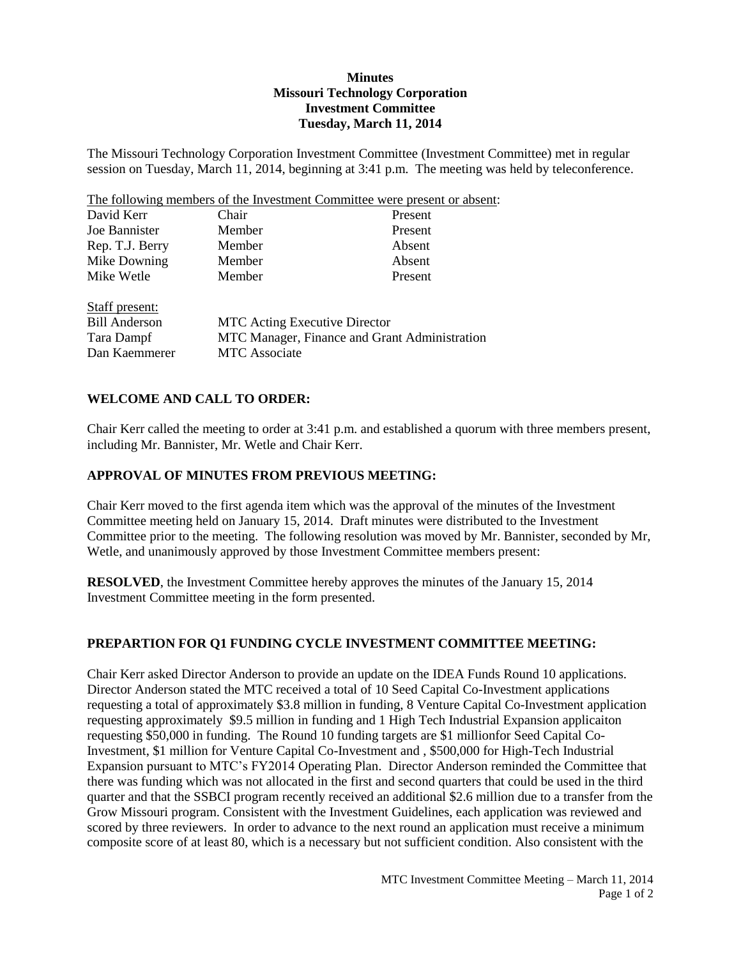## **Minutes Missouri Technology Corporation Investment Committee Tuesday, March 11, 2014**

The Missouri Technology Corporation Investment Committee (Investment Committee) met in regular session on Tuesday, March 11, 2014, beginning at 3:41 p.m. The meeting was held by teleconference.

The following members of the Investment Committee were present or absent:

| David Kerr           | Chair                                         | Present |  |
|----------------------|-----------------------------------------------|---------|--|
| Joe Bannister        | Member                                        | Present |  |
| Rep. T.J. Berry      | Member                                        | Absent  |  |
| Mike Downing         | Member                                        | Absent  |  |
| Mike Wetle           | Member                                        | Present |  |
| Staff present:       |                                               |         |  |
| <b>Bill Anderson</b> | <b>MTC</b> Acting Executive Director          |         |  |
| Tara Dampf           | MTC Manager, Finance and Grant Administration |         |  |
| Dan Kaemmerer        | <b>MTC</b> Associate                          |         |  |

## **WELCOME AND CALL TO ORDER:**

Chair Kerr called the meeting to order at 3:41 p.m. and established a quorum with three members present, including Mr. Bannister, Mr. Wetle and Chair Kerr.

### **APPROVAL OF MINUTES FROM PREVIOUS MEETING:**

Chair Kerr moved to the first agenda item which was the approval of the minutes of the Investment Committee meeting held on January 15, 2014. Draft minutes were distributed to the Investment Committee prior to the meeting. The following resolution was moved by Mr. Bannister, seconded by Mr, Wetle, and unanimously approved by those Investment Committee members present:

**RESOLVED**, the Investment Committee hereby approves the minutes of the January 15, 2014 Investment Committee meeting in the form presented.

#### **PREPARTION FOR Q1 FUNDING CYCLE INVESTMENT COMMITTEE MEETING:**

Chair Kerr asked Director Anderson to provide an update on the IDEA Funds Round 10 applications. Director Anderson stated the MTC received a total of 10 Seed Capital Co-Investment applications requesting a total of approximately \$3.8 million in funding, 8 Venture Capital Co-Investment application requesting approximately \$9.5 million in funding and 1 High Tech Industrial Expansion applicaiton requesting \$50,000 in funding. The Round 10 funding targets are \$1 millionfor Seed Capital Co-Investment, \$1 million for Venture Capital Co-Investment and , \$500,000 for High-Tech Industrial Expansion pursuant to MTC's FY2014 Operating Plan. Director Anderson reminded the Committee that there was funding which was not allocated in the first and second quarters that could be used in the third quarter and that the SSBCI program recently received an additional \$2.6 million due to a transfer from the Grow Missouri program. Consistent with the Investment Guidelines, each application was reviewed and scored by three reviewers. In order to advance to the next round an application must receive a minimum composite score of at least 80, which is a necessary but not sufficient condition. Also consistent with the